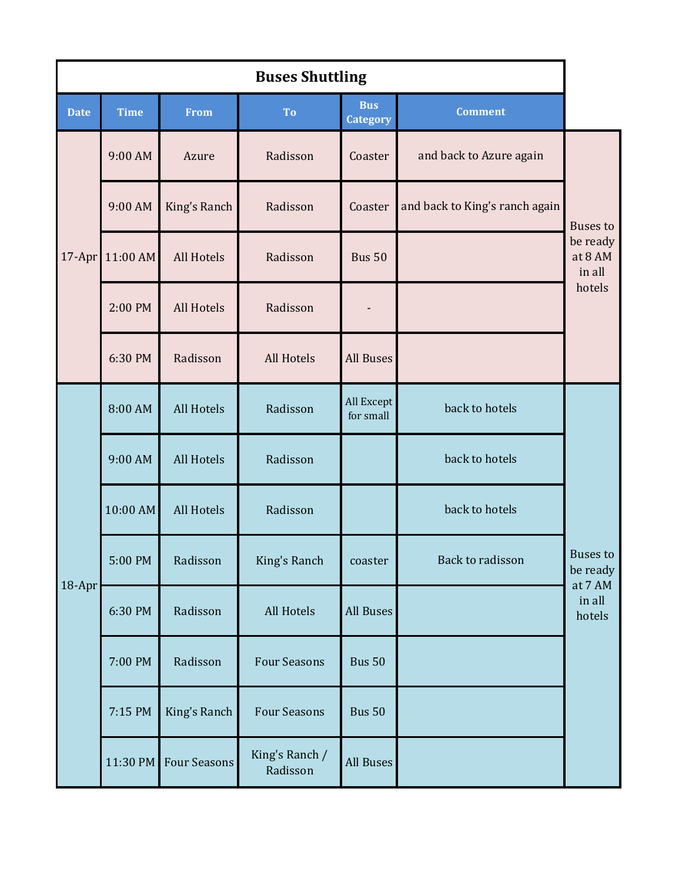| <b>Buses Shuttling</b> |             |                     |                            |                               |                                |                                                            |  |  |
|------------------------|-------------|---------------------|----------------------------|-------------------------------|--------------------------------|------------------------------------------------------------|--|--|
| <b>Date</b>            | <b>Time</b> | <b>From</b>         | To                         | <b>Bus</b><br><b>Category</b> | <b>Comment</b>                 |                                                            |  |  |
| 17-Apr                 | 9:00 AM     | Azure               | Radisson                   | Coaster                       | and back to Azure again        | <b>Buses</b> to<br>be ready<br>at 8 AM<br>in all<br>hotels |  |  |
|                        | 9:00 AM     | King's Ranch        | Radisson                   | Coaster                       | and back to King's ranch again |                                                            |  |  |
|                        | 11:00 AM    | All Hotels          | Radisson                   | <b>Bus 50</b>                 |                                |                                                            |  |  |
|                        | 2:00 PM     | All Hotels          | Radisson                   |                               |                                |                                                            |  |  |
|                        | 6:30 PM     | Radisson            | All Hotels                 | <b>All Buses</b>              |                                |                                                            |  |  |
| 18-Apr                 | 8:00 AM     | <b>All Hotels</b>   | Radisson                   | All Except<br>for small       | back to hotels                 | Buses to<br>be ready<br>at 7 AM<br>in all<br>hotels        |  |  |
|                        | 9:00 AM     | All Hotels          | Radisson                   |                               | back to hotels                 |                                                            |  |  |
|                        | 10:00 AM    | All Hotels          | Radisson                   |                               | back to hotels                 |                                                            |  |  |
|                        | 5:00 PM     | Radisson            | King's Ranch               | coaster                       | Back to radisson               |                                                            |  |  |
|                        | 6:30 PM     | Radisson            | All Hotels                 | All Buses                     |                                |                                                            |  |  |
|                        | 7:00 PM     | Radisson            | <b>Four Seasons</b>        | <b>Bus 50</b>                 |                                |                                                            |  |  |
|                        | 7:15 PM     | King's Ranch        | <b>Four Seasons</b>        | <b>Bus 50</b>                 |                                |                                                            |  |  |
|                        | 11:30 PM    | <b>Four Seasons</b> | King's Ranch /<br>Radisson | All Buses                     |                                |                                                            |  |  |